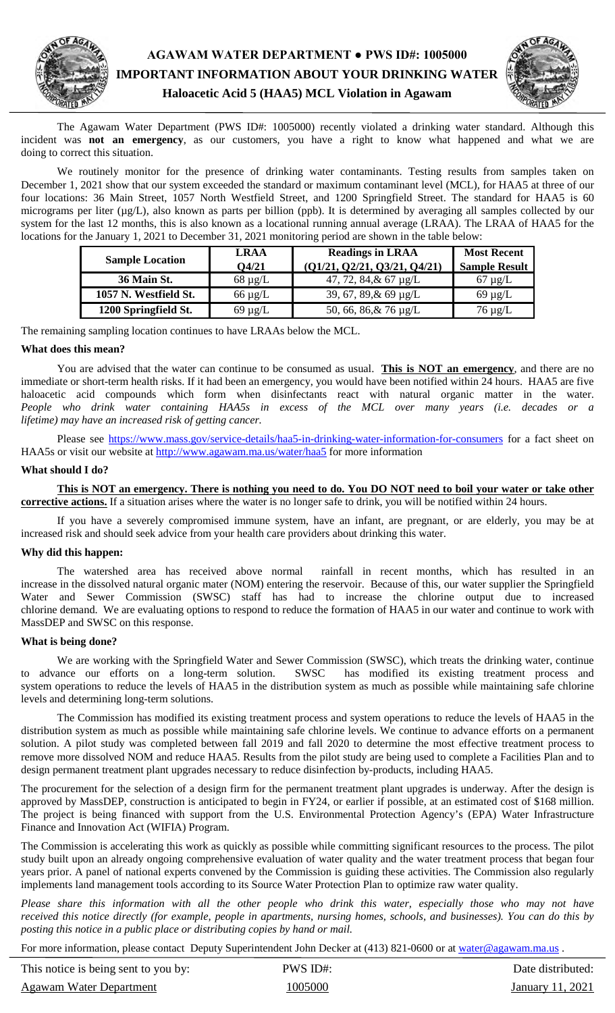

# **AGAWAM WATER DEPARTMENT ● PWS ID#: 1005000 IMPORTANT INFORMATION ABOUT YOUR DRINKING WATER Haloacetic Acid 5 (HAA5) MCL Violation in Agawam**



The Agawam Water Department (PWS ID#: 1005000) recently violated a drinking water standard. Although this incident was **not an emergency**, as our customers, you have a right to know what happened and what we are doing to correct this situation.

We routinely monitor for the presence of drinking water contaminants. Testing results from samples taken on December 1, 2021 show that our system exceeded the standard or maximum contaminant level (MCL), for HAA5 at three of our four locations: 36 Main Street, 1057 North Westfield Street, and 1200 Springfield Street. The standard for HAA5 is 60 micrograms per liter (µg/L), also known as parts per billion (ppb). It is determined by averaging all samples collected by our system for the last 12 months, this is also known as a locational running annual average (LRAA). The LRAA of HAA5 for the locations for the January 1, 2021 to December 31, 2021 monitoring period are shown in the table below:

| <b>Sample Location</b> | <b>LRAA</b>  | <b>Readings in LRAA</b>       | <b>Most Recent</b>   |
|------------------------|--------------|-------------------------------|----------------------|
|                        | O4/21        | (Q1/21, Q2/21, Q3/21, Q4/21)  | <b>Sample Result</b> |
| 36 Main St.            | $68 \mu g/L$ | 47, 72, 84, $\&$ 67 $\mu$ g/L | $67 \mu g/L$         |
| 1057 N. Westfield St.  | $66 \mu g/L$ | 39, 67, 89, & 69 $\mu$ g/L    | $69 \mu g/L$         |
| 1200 Springfield St.   | $69 \mu g/L$ | 50, 66, 86, & 76 µg/L         | $76 \mu$ g/L         |

The remaining sampling location continues to have LRAAs below the MCL.

## **What does this mean?**

You are advised that the water can continue to be consumed as usual. **This is NOT an emergency**, and there are no immediate or short-term health risks. If it had been an emergency, you would have been notified within 24 hours. HAA5 are five haloacetic acid compounds which form when disinfectants react with natural organic matter in the water. *People who drink water containing HAA5s in excess of the MCL over many years (i.e. decades or a lifetime) may have an increased risk of getting cancer.* 

Please see https://www.mass.gov/service-details/haa5-in-drinking-water-information-for-consumers for a fact sheet on HAA5s or visit our website at http://www.agawam.ma.us/water/haa5 for more information

#### **What should I do?**

**This is NOT an emergency. There is nothing you need to do. You DO NOT need to boil your water or take other corrective actions.** If a situation arises where the water is no longer safe to drink, you will be notified within 24 hours.

If you have a severely compromised immune system, have an infant, are pregnant, or are elderly, you may be at increased risk and should seek advice from your health care providers about drinking this water.

## **Why did this happen:**

The watershed area has received above normal rainfall in recent months, which has resulted in an increase in the dissolved natural organic mater (NOM) entering the reservoir. Because of this, our water supplier the Springfield Water and Sewer Commission (SWSC) staff has had to increase the chlorine output due to increased chlorine demand. We are evaluating options to respond to reduce the formation of HAA5 in our water and continue to work with MassDEP and SWSC on this response.

#### **What is being done?**

We are working with the Springfield Water and Sewer Commission (SWSC), which treats the drinking water, continue to advance our efforts on a long-term solution. SWSC has modified its existing treatment process and system operations to reduce the levels of HAA5 in the distribution system as much as possible while maintaining safe chlorine levels and determining long-term solutions.

The Commission has modified its existing treatment process and system operations to reduce the levels of HAA5 in the distribution system as much as possible while maintaining safe chlorine levels. We continue to advance efforts on a permanent solution. A pilot study was completed between fall 2019 and fall 2020 to determine the most effective treatment process to remove more dissolved NOM and reduce HAA5. Results from the pilot study are being used to complete a Facilities Plan and to design permanent treatment plant upgrades necessary to reduce disinfection by-products, including HAA5.

The procurement for the selection of a design firm for the permanent treatment plant upgrades is underway. After the design is approved by MassDEP, construction is anticipated to begin in FY24, or earlier if possible, at an estimated cost of \$168 million. The project is being financed with support from the U.S. Environmental Protection Agency's (EPA) Water Infrastructure Finance and Innovation Act (WIFIA) Program.

The Commission is accelerating this work as quickly as possible while committing significant resources to the process. The pilot study built upon an already ongoing comprehensive evaluation of water quality and the water treatment process that began four years prior. A panel of national experts convened by the Commission is guiding these activities. The Commission also regularly implements land management tools according to its Source Water Protection Plan to optimize raw water quality.

*Please share this information with all the other people who drink this water, especially those who may not have received this notice directly (for example, people in apartments, nursing homes, schools, and businesses). You can do this by posting this notice in a public place or distributing copies by hand or mail.*

For more information, please contact Deputy Superintendent John Decker at (413) 821-0600 or at water@agawam.ma.us.

This notice is being sent to you by: PWS ID#: Date distributed: Date distributed: